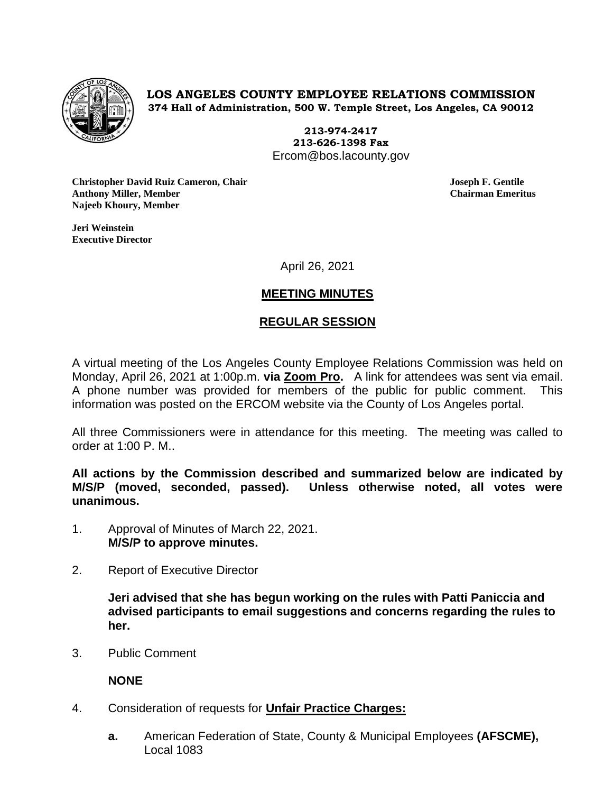

**LOS ANGELES COUNTY EMPLOYEE RELATIONS COMMISSION 374 Hall of Administration, 500 W. Temple Street, Los Angeles, CA 90012**

> **213-974-2417 213-626-1398 Fax** Ercom@bos.lacounty.gov

**Christopher David Ruiz Cameron, Chair Joseph F. Gentile Anthony Miller, Member Chairman Emeritus Najeeb Khoury, Member**

**Jeri Weinstein Executive Director** 

April 26, 2021

# **MEETING MINUTES**

## **REGULAR SESSION**

A virtual meeting of the Los Angeles County Employee Relations Commission was held on Monday, April 26, 2021 at 1:00p.m. **via Zoom Pro.** A link for attendees was sent via email. A phone number was provided for members of the public for public comment. This information was posted on the ERCOM website via the County of Los Angeles portal.

All three Commissioners were in attendance for this meeting. The meeting was called to order at 1:00 P. M..

**All actions by the Commission described and summarized below are indicated by M/S/P (moved, seconded, passed). Unless otherwise noted, all votes were unanimous.**

- 1. Approval of Minutes of March 22, 2021. **M/S/P to approve minutes.**
- 2. Report of Executive Director

**Jeri advised that she has begun working on the rules with Patti Paniccia and advised participants to email suggestions and concerns regarding the rules to her.** 

3. Public Comment

**NONE**

- 4. Consideration of requests for **Unfair Practice Charges:**
	- **a.** American Federation of State, County & Municipal Employees **(AFSCME),** Local 1083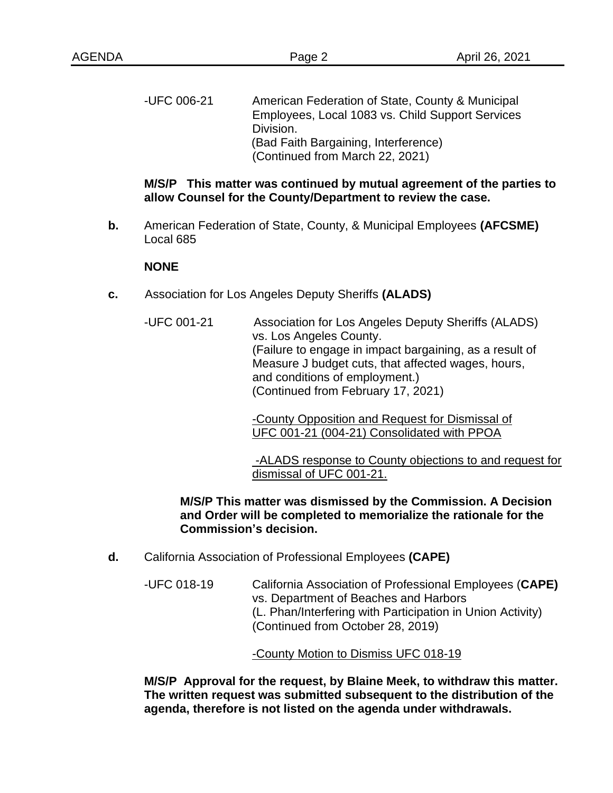-UFC 006-21 American Federation of State, County & Municipal Employees, Local 1083 vs. Child Support Services Division. (Bad Faith Bargaining, Interference) (Continued from March 22, 2021)

## **M/S/P This matter was continued by mutual agreement of the parties to allow Counsel for the County/Department to review the case.**

**b.** American Federation of State, County, & Municipal Employees **(AFCSME)** Local 685

#### **NONE**

- **c.** Association for Los Angeles Deputy Sheriffs **(ALADS)**
	- -UFC 001-21 Association for Los Angeles Deputy Sheriffs (ALADS) vs. Los Angeles County. (Failure to engage in impact bargaining, as a result of Measure J budget cuts, that affected wages, hours, and conditions of employment.) (Continued from February 17, 2021)

-County Opposition and Request for Dismissal of UFC 001-21 (004-21) Consolidated with PPOA

-ALADS response to County objections to and request for dismissal of UFC 001-21.

## **M/S/P This matter was dismissed by the Commission. A Decision and Order will be completed to memorialize the rationale for the Commission's decision.**

- **d.** California Association of Professional Employees **(CAPE)**
	- -UFC 018-19 California Association of Professional Employees (**CAPE)** vs. Department of Beaches and Harbors (L. Phan/Interfering with Participation in Union Activity) (Continued from October 28, 2019)

#### -County Motion to Dismiss UFC 018-19

**M/S/P Approval for the request, by Blaine Meek, to withdraw this matter. The written request was submitted subsequent to the distribution of the agenda, therefore is not listed on the agenda under withdrawals.**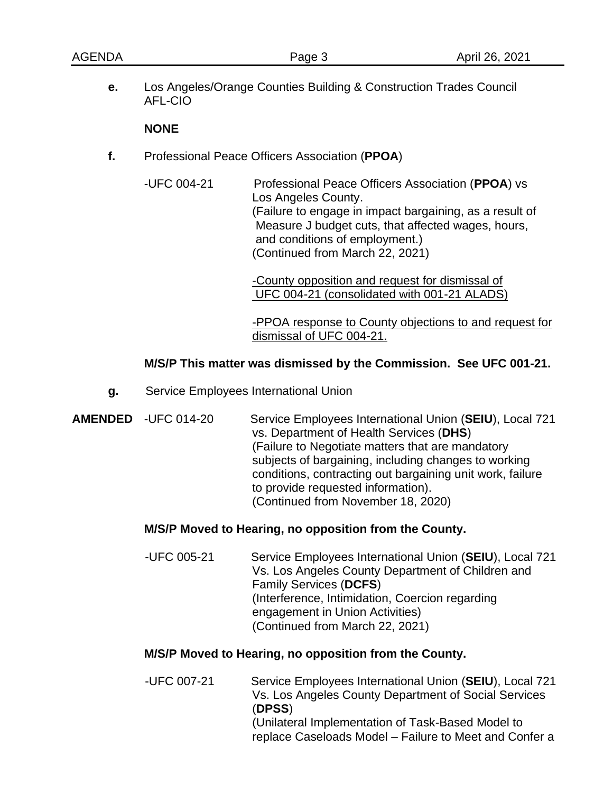**e.** Los Angeles/Orange Counties Building & Construction Trades Council AFL-CIO

### **NONE**

- **f.** Professional Peace Officers Association (**PPOA**)
	- -UFC 004-21 Professional Peace Officers Association (**PPOA**) vs Los Angeles County. (Failure to engage in impact bargaining, as a result of Measure J budget cuts, that affected wages, hours, and conditions of employment.) (Continued from March 22, 2021)

-County opposition and request for dismissal of UFC 004-21 (consolidated with 001-21 ALADS)

-PPOA response to County objections to and request for dismissal of UFC 004-21.

### **M/S/P This matter was dismissed by the Commission. See UFC 001-21.**

- **g.** Service Employees International Union
- **AMENDED** -UFC 014-20 Service Employees International Union (**SEIU**), Local 721 vs. Department of Health Services (**DHS**) (Failure to Negotiate matters that are mandatory subjects of bargaining, including changes to working conditions, contracting out bargaining unit work, failure to provide requested information). (Continued from November 18, 2020)

## **M/S/P Moved to Hearing, no opposition from the County.**

 -UFC 005-21 Service Employees International Union (**SEIU**), Local 721 Vs. Los Angeles County Department of Children and Family Services (**DCFS**) (Interference, Intimidation, Coercion regarding engagement in Union Activities) (Continued from March 22, 2021)

### **M/S/P Moved to Hearing, no opposition from the County.**

 -UFC 007-21 Service Employees International Union (**SEIU**), Local 721 Vs. Los Angeles County Department of Social Services (**DPSS**) (Unilateral Implementation of Task-Based Model to replace Caseloads Model – Failure to Meet and Confer a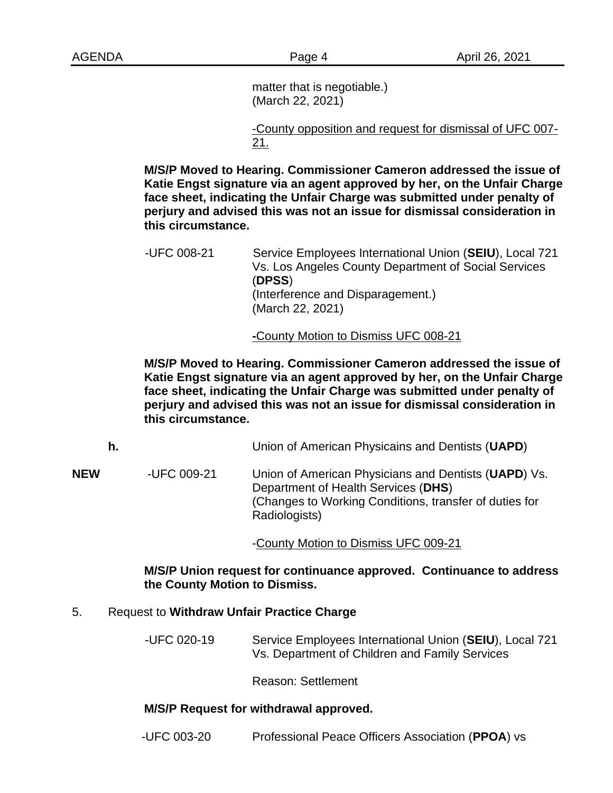matter that is negotiable.) (March 22, 2021)

-County opposition and request for dismissal of UFC 007- 21.

**M/S/P Moved to Hearing. Commissioner Cameron addressed the issue of Katie Engst signature via an agent approved by her, on the Unfair Charge face sheet, indicating the Unfair Charge was submitted under penalty of perjury and advised this was not an issue for dismissal consideration in this circumstance.**

 -UFC 008-21 Service Employees International Union (**SEIU**), Local 721 Vs. Los Angeles County Department of Social Services (**DPSS**) (Interference and Disparagement.) (March 22, 2021)

**-**County Motion to Dismiss UFC 008-21

**M/S/P Moved to Hearing. Commissioner Cameron addressed the issue of Katie Engst signature via an agent approved by her, on the Unfair Charge face sheet, indicating the Unfair Charge was submitted under penalty of perjury and advised this was not an issue for dismissal consideration in this circumstance.**

**h.** Union of American Physicains and Dentists (**UAPD**)

**NEW** -UFC 009-21 Union of American Physicians and Dentists (**UAPD**) Vs. Department of Health Services (**DHS**) (Changes to Working Conditions, transfer of duties for Radiologists)

-County Motion to Dismiss UFC 009-21

### **M/S/P Union request for continuance approved. Continuance to address the County Motion to Dismiss.**

## 5. Request to **Withdraw Unfair Practice Charge**

-UFC 020-19 Service Employees International Union (**SEIU**), Local 721 Vs. Department of Children and Family Services

Reason: Settlement

## **M/S/P Request for withdrawal approved.**

-UFC 003-20 Professional Peace Officers Association (**PPOA**) vs